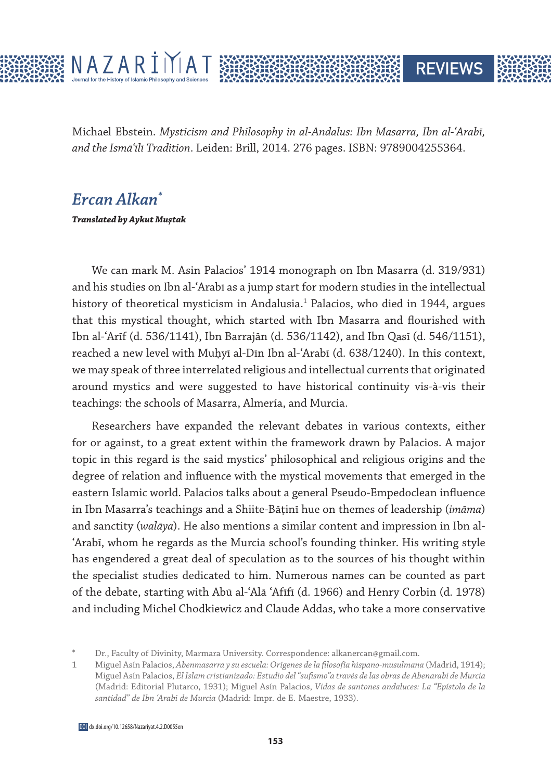

Michael Ebstein. *Mysticism and Philosophy in al-Andalus: Ibn Masarra, Ibn al-ʿArabī, and the Ismāʿīlī Tradition*. Leiden: Brill, 2014. 276 pages. ISBN: 9789004255364.

**REVIEWS** 

## *Ercan Alkan\**

**Translated by Aykut Muştak**

We can mark M. Asin Palacios' 1914 monograph on Ibn Masarra (d. 319/931) and his studies on Ibn al-ʿArabī as a jump start for modern studies in the intellectual history of theoretical mysticism in Andalusia.1 Palacios, who died in 1944, argues that this mystical thought, which started with Ibn Masarra and flourished with Ibn al-ʿArīf (d. 536/1141), Ibn Barrajān (d. 536/1142), and Ibn Qasī (d. 546/1151), reached a new level with Muḥyī al-Dīn Ibn al-ʿArabī (d. 638/1240). In this context, we may speak of three interrelated religious and intellectual currents that originated around mystics and were suggested to have historical continuity vis-à-vis their teachings: the schools of Masarra, Almería, and Murcia.

Researchers have expanded the relevant debates in various contexts, either for or against, to a great extent within the framework drawn by Palacios. A major topic in this regard is the said mystics' philosophical and religious origins and the degree of relation and influence with the mystical movements that emerged in the eastern Islamic world. Palacios talks about a general Pseudo-Empedoclean influence in Ibn Masarra's teachings and a Shiite-Bāṭinī hue on themes of leadership (*imāma*) and sanctity (*walāya*). He also mentions a similar content and impression in Ibn al-ʿArabī, whom he regards as the Murcia school's founding thinker. His writing style has engendered a great deal of speculation as to the sources of his thought within the specialist studies dedicated to him. Numerous names can be counted as part of the debate, starting with Abū al-ʿAlā ʿAfīfī (d. 1966) and Henry Corbin (d. 1978) and including Michel Chodkiewicz and Claude Addas, who take a more conservative

Dr., Faculty of Divinity, Marmara University. Correspondence: alkanercan@gmail.com.

<sup>1</sup> Miguel Asín Palacios, *Abenmasarra y su escuela: Orígenes de la filosofía hispano-musulmana* (Madrid, 1914); Miguel Asín Palacios, *El Islam cristianizado: Estudio del "sufismo"a través de las obras de Abenarabi de Murcia* (Madrid: Editorial Plutarco, 1931); Miguel Asín Palacios, *Vidas de santones andaluces: La "Epístola de la santidad" de Ibn 'Arabi de Murcia* (Madrid: Impr. de E. Maestre, 1933).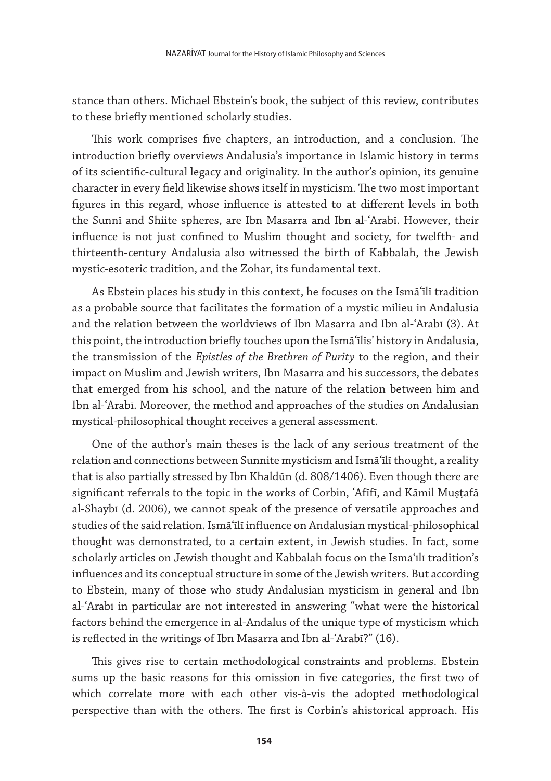stance than others. Michael Ebstein's book, the subject of this review, contributes to these briefly mentioned scholarly studies.

This work comprises five chapters, an introduction, and a conclusion. The introduction briefly overviews Andalusia's importance in Islamic history in terms of its scientific-cultural legacy and originality. In the author's opinion, its genuine character in every field likewise shows itself in mysticism. The two most important figures in this regard, whose influence is attested to at different levels in both the Sunnī and Shiite spheres, are Ibn Masarra and Ibn al-ʿArabī. However, their influence is not just confined to Muslim thought and society, for twelfth- and thirteenth-century Andalusia also witnessed the birth of Kabbalah, the Jewish mystic-esoteric tradition, and the Zohar, its fundamental text.

As Ebstein places his study in this context, he focuses on the Ismāʿīlī tradition as a probable source that facilitates the formation of a mystic milieu in Andalusia and the relation between the worldviews of Ibn Masarra and Ibn al-ʿArabī (3). At this point, the introduction briefly touches upon the Ismāʿīlīs' history in Andalusia, the transmission of the *Epistles of the Brethren of Purity* to the region, and their impact on Muslim and Jewish writers, Ibn Masarra and his successors, the debates that emerged from his school, and the nature of the relation between him and Ibn al-ʿArabī. Moreover, the method and approaches of the studies on Andalusian mystical-philosophical thought receives a general assessment.

One of the author's main theses is the lack of any serious treatment of the relation and connections between Sunnite mysticism and Ismāʿīlī thought, a reality that is also partially stressed by Ibn Khaldūn (d. 808/1406). Even though there are significant referrals to the topic in the works of Corbin, ʿAfīfī, and Kāmil Muṣṭafā al-Shaybī (d. 2006), we cannot speak of the presence of versatile approaches and studies of the said relation. Ismāʿīlī influence on Andalusian mystical-philosophical thought was demonstrated, to a certain extent, in Jewish studies. In fact, some scholarly articles on Jewish thought and Kabbalah focus on the Ismāʿīlī tradition's influences and its conceptual structure in some of the Jewish writers. But according to Ebstein, many of those who study Andalusian mysticism in general and Ibn al-ʿArabī in particular are not interested in answering "what were the historical factors behind the emergence in al-Andalus of the unique type of mysticism which is reflected in the writings of Ibn Masarra and Ibn al-ʿArabī?" (16).

This gives rise to certain methodological constraints and problems. Ebstein sums up the basic reasons for this omission in five categories, the first two of which correlate more with each other vis-à-vis the adopted methodological perspective than with the others. The first is Corbin's ahistorical approach. His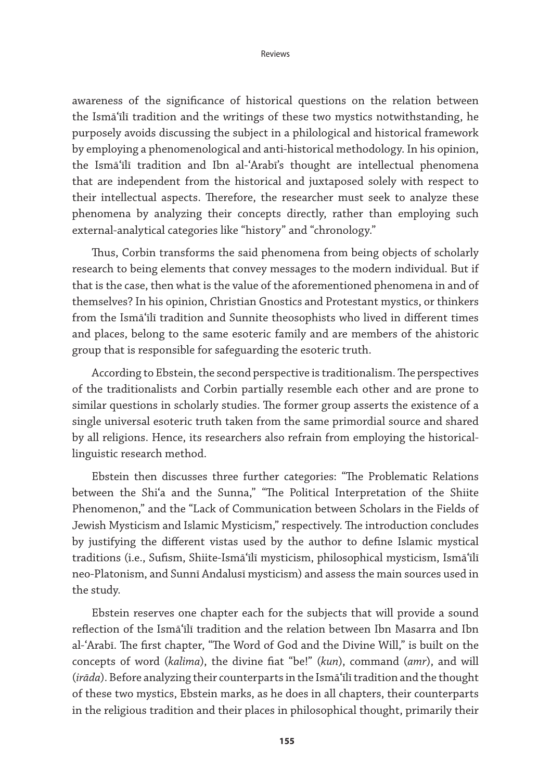awareness of the significance of historical questions on the relation between the Ismāʿīlī tradition and the writings of these two mystics notwithstanding, he purposely avoids discussing the subject in a philological and historical framework by employing a phenomenological and anti-historical methodology. In his opinion, the Ismāʿīlī tradition and Ibn al-ʿArabī's thought are intellectual phenomena that are independent from the historical and juxtaposed solely with respect to their intellectual aspects. Therefore, the researcher must seek to analyze these phenomena by analyzing their concepts directly, rather than employing such external-analytical categories like "history" and "chronology."

Thus, Corbin transforms the said phenomena from being objects of scholarly research to being elements that convey messages to the modern individual. But if that is the case, then what is the value of the aforementioned phenomena in and of themselves? In his opinion, Christian Gnostics and Protestant mystics, or thinkers from the Ismāʿīlī tradition and Sunnite theosophists who lived in different times and places, belong to the same esoteric family and are members of the ahistoric group that is responsible for safeguarding the esoteric truth.

According to Ebstein, the second perspective is traditionalism. The perspectives of the traditionalists and Corbin partially resemble each other and are prone to similar questions in scholarly studies. The former group asserts the existence of a single universal esoteric truth taken from the same primordial source and shared by all religions. Hence, its researchers also refrain from employing the historicallinguistic research method.

Ebstein then discusses three further categories: "The Problematic Relations between the Shi'a and the Sunna," "The Political Interpretation of the Shiite Phenomenon," and the "Lack of Communication between Scholars in the Fields of Jewish Mysticism and Islamic Mysticism," respectively. The introduction concludes by justifying the different vistas used by the author to define Islamic mystical traditions (i.e., Sufism, Shiite-Ismāʿīlī mysticism, philosophical mysticism, Ismāʿīlī neo-Platonism, and Sunnī Andalusī mysticism) and assess the main sources used in the study.

Ebstein reserves one chapter each for the subjects that will provide a sound reflection of the Ismāʿīlī tradition and the relation between Ibn Masarra and Ibn al-ʿArabī. The first chapter, "The Word of God and the Divine Will," is built on the concepts of word (*kalima*), the divine fiat "be!" (*kun*), command (*amr*), and will (*irāda*). Before analyzing their counterparts in the Ismāʿīlī tradition and the thought of these two mystics, Ebstein marks, as he does in all chapters, their counterparts in the religious tradition and their places in philosophical thought, primarily their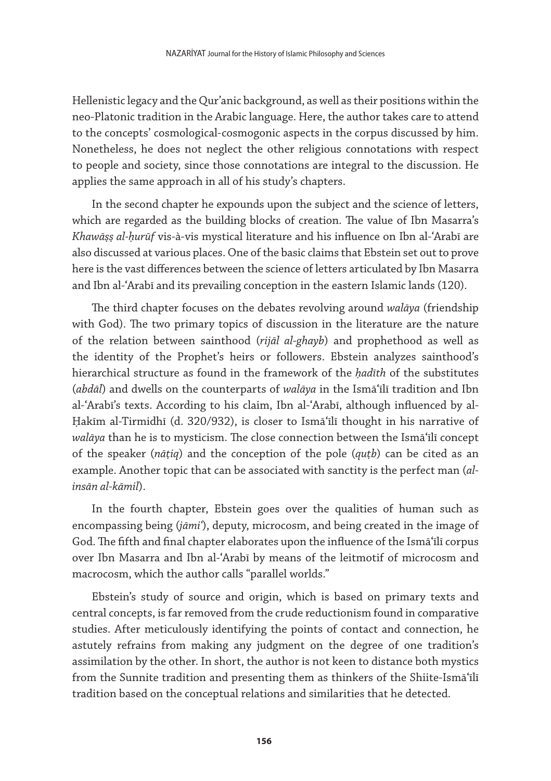Hellenistic legacy and the Qur'anic background, as well as their positions within the neo-Platonic tradition in the Arabic language. Here, the author takes care to attend to the concepts' cosmological-cosmogonic aspects in the corpus discussed by him. Nonetheless, he does not neglect the other religious connotations with respect to people and society, since those connotations are integral to the discussion. He applies the same approach in all of his study's chapters.

In the second chapter he expounds upon the subject and the science of letters, which are regarded as the building blocks of creation. The value of Ibn Masarra's *Khawāṣṣ al-ḥurūf* vis-à-vis mystical literature and his influence on Ibn al-ʿArabī are also discussed at various places. One of the basic claims that Ebstein set out to prove here is the vast differences between the science of letters articulated by Ibn Masarra and Ibn al-ʿArabī and its prevailing conception in the eastern Islamic lands (120).

The third chapter focuses on the debates revolving around *walāya* (friendship with God). The two primary topics of discussion in the literature are the nature of the relation between sainthood (*rijāl al-ghayb*) and prophethood as well as the identity of the Prophet's heirs or followers. Ebstein analyzes sainthood's hierarchical structure as found in the framework of the *ḥadīth* of the substitutes (*abdāl*) and dwells on the counterparts of *walāya* in the Ismāʿīlī tradition and Ibn al-ʿArabī's texts. According to his claim, Ibn al-ʿArabī, although influenced by al-Ḥakīm al-Tirmidhī (d. 320/932), is closer to Ismāʿīlī thought in his narrative of *walāya* than he is to mysticism. The close connection between the Ismāʿīlī concept of the speaker (*nāṭiq*) and the conception of the pole (*quṭb*) can be cited as an example. Another topic that can be associated with sanctity is the perfect man (*alinsān al-kāmil*).

In the fourth chapter, Ebstein goes over the qualities of human such as encompassing being (*jāmiʿ*), deputy, microcosm, and being created in the image of God. The fifth and final chapter elaborates upon the influence of the Ismāʿīlī corpus over Ibn Masarra and Ibn al-ʿArabī by means of the leitmotif of microcosm and macrocosm, which the author calls "parallel worlds."

Ebstein's study of source and origin, which is based on primary texts and central concepts, is far removed from the crude reductionism found in comparative studies. After meticulously identifying the points of contact and connection, he astutely refrains from making any judgment on the degree of one tradition's assimilation by the other. In short, the author is not keen to distance both mystics from the Sunnite tradition and presenting them as thinkers of the Shiite-Ismāʿīlī tradition based on the conceptual relations and similarities that he detected.